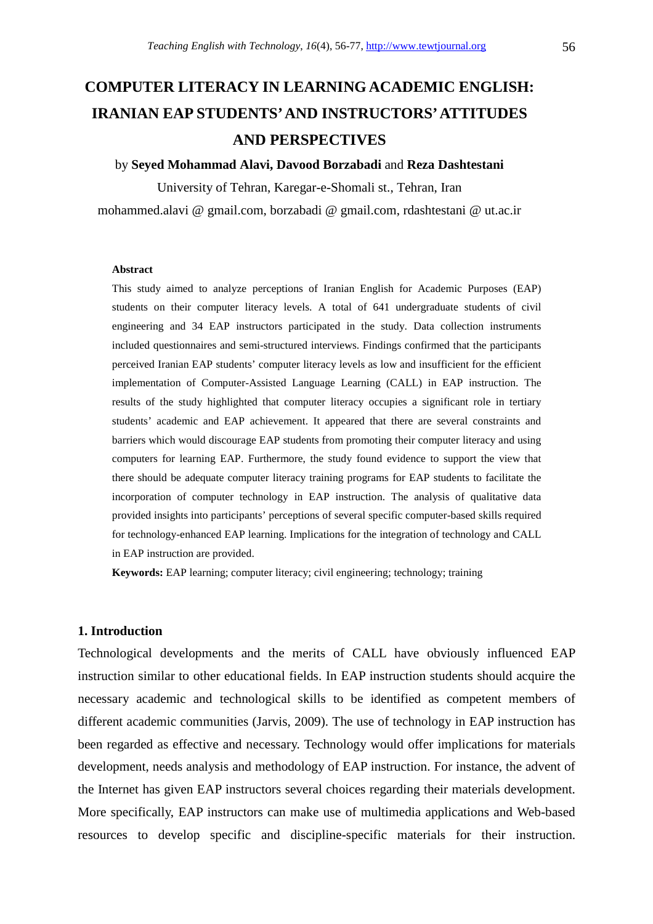# **COMPUTER LITERACY IN LEARNING ACADEMIC ENGLISH: IRANIAN EAP STUDENTS' AND INSTRUCTORS' ATTITUDES AND PERSPECTIVES**

### by **Seyed Mohammad Alavi, Davood Borzabadi** and **Reza Dashtestani**

University of Tehran, Karegar-e-Shomali st., Tehran, Iran mohammed.alavi @ gmail.com, borzabadi @ gmail.com, rdashtestani @ ut.ac.ir

### **Abstract**

This study aimed to analyze perceptions of Iranian English for Academic Purposes (EAP) students on their computer literacy levels. A total of 641 undergraduate students of civil engineering and 34 EAP instructors participated in the study. Data collection instruments included questionnaires and semi-structured interviews. Findings confirmed that the participants perceived Iranian EAP students' computer literacy levels as low and insufficient for the efficient implementation of Computer-Assisted Language Learning (CALL) in EAP instruction. The results of the study highlighted that computer literacy occupies a significant role in tertiary students' academic and EAP achievement. It appeared that there are several constraints and barriers which would discourage EAP students from promoting their computer literacy and using computers for learning EAP. Furthermore, the study found evidence to support the view that there should be adequate computer literacy training programs for EAP students to facilitate the incorporation of computer technology in EAP instruction. The analysis of qualitative data provided insights into participants' perceptions of several specific computer-based skills required for technology-enhanced EAP learning. Implications for the integration of technology and CALL in EAP instruction are provided.

**Keywords:** EAP learning; computer literacy; civil engineering; technology; training

### **1. Introduction**

Technological developments and the merits of CALL have obviously influenced EAP instruction similar to other educational fields. In EAP instruction students should acquire the necessary academic and technological skills to be identified as competent members of different academic communities (Jarvis, 2009). The use of technology in EAP instruction has been regarded as effective and necessary. Technology would offer implications for materials development, needs analysis and methodology of EAP instruction. For instance, the advent of the Internet has given EAP instructors several choices regarding their materials development. More specifically, EAP instructors can make use of multimedia applications and Web-based resources to develop specific and discipline-specific materials for their instruction.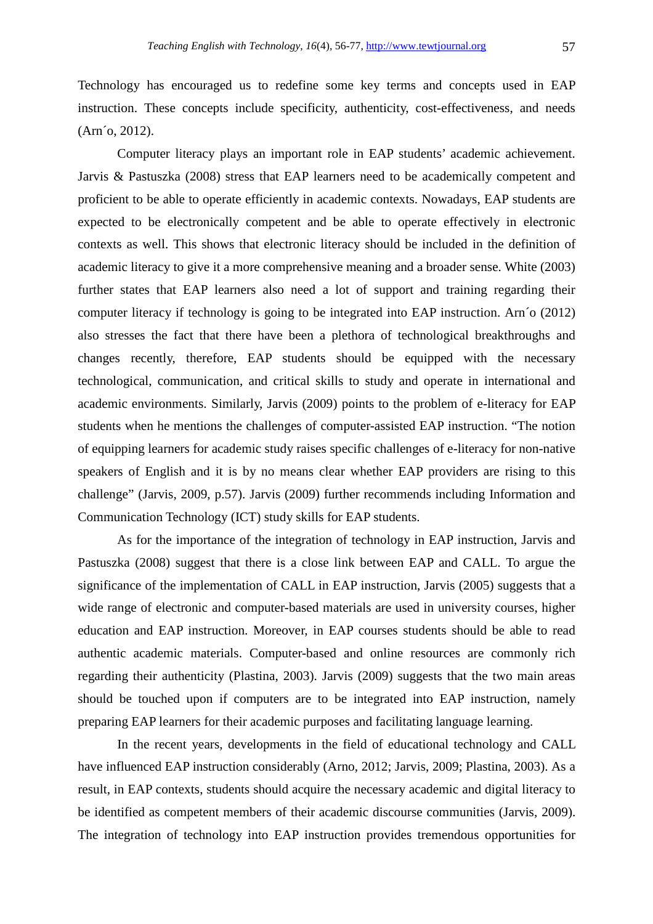Technology has encouraged us to redefine some key terms and concepts used in EAP instruction. These concepts include specificity, authenticity, cost-effectiveness, and needs (Arn´o, 2012).

Computer literacy plays an important role in EAP students' academic achievement. Jarvis & Pastuszka (2008) stress that EAP learners need to be academically competent and proficient to be able to operate efficiently in academic contexts. Nowadays, EAP students are expected to be electronically competent and be able to operate effectively in electronic contexts as well. This shows that electronic literacy should be included in the definition of academic literacy to give it a more comprehensive meaning and a broader sense. White (2003) further states that EAP learners also need a lot of support and training regarding their computer literacy if technology is going to be integrated into EAP instruction. Arn´o (2012) also stresses the fact that there have been a plethora of technological breakthroughs and changes recently, therefore, EAP students should be equipped with the necessary technological, communication, and critical skills to study and operate in international and academic environments. Similarly, Jarvis (2009) points to the problem of e-literacy for EAP students when he mentions the challenges of computer-assisted EAP instruction. "The notion of equipping learners for academic study raises specific challenges of e-literacy for non-native speakers of English and it is by no means clear whether EAP providers are rising to this challenge" (Jarvis, 2009, p.57). Jarvis (2009) further recommends including Information and Communication Technology (ICT) study skills for EAP students.

As for the importance of the integration of technology in EAP instruction, Jarvis and Pastuszka (2008) suggest that there is a close link between EAP and CALL. To argue the significance of the implementation of CALL in EAP instruction, Jarvis (2005) suggests that a wide range of electronic and computer-based materials are used in university courses, higher education and EAP instruction. Moreover, in EAP courses students should be able to read authentic academic materials. Computer-based and online resources are commonly rich regarding their authenticity (Plastina, 2003). Jarvis (2009) suggests that the two main areas should be touched upon if computers are to be integrated into EAP instruction, namely preparing EAP learners for their academic purposes and facilitating language learning.

In the recent years, developments in the field of educational technology and CALL have influenced EAP instruction considerably (Arno, 2012; Jarvis, 2009; Plastina, 2003). As a result, in EAP contexts, students should acquire the necessary academic and digital literacy to be identified as competent members of their academic discourse communities (Jarvis, 2009). The integration of technology into EAP instruction provides tremendous opportunities for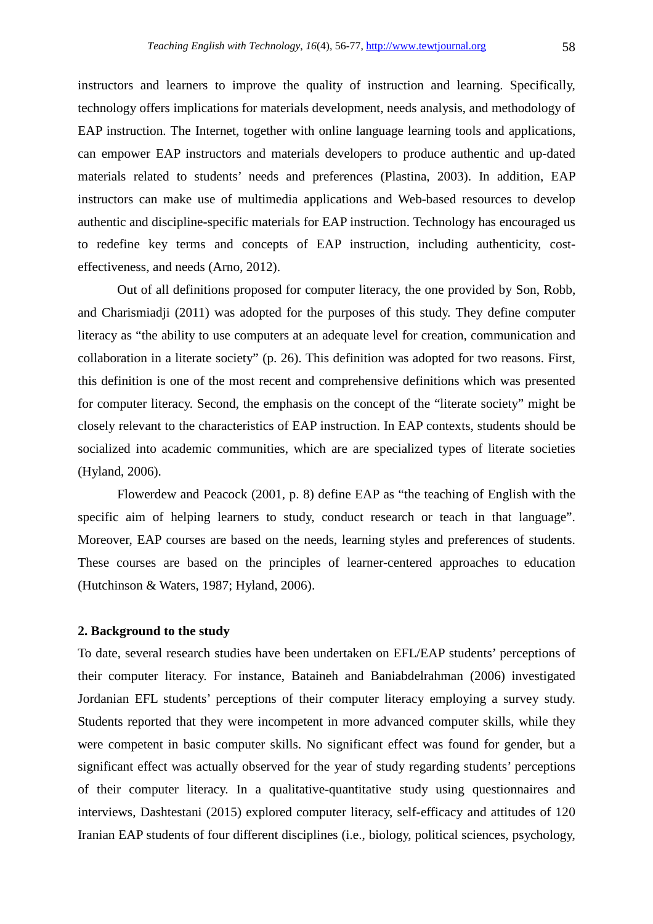instructors and learners to improve the quality of instruction and learning. Specifically, technology offers implications for materials development, needs analysis, and methodology of EAP instruction. The Internet, together with online language learning tools and applications, can empower EAP instructors and materials developers to produce authentic and up-dated materials related to students' needs and preferences (Plastina, 2003). In addition, EAP instructors can make use of multimedia applications and Web-based resources to develop authentic and discipline-specific materials for EAP instruction. Technology has encouraged us to redefine key terms and concepts of EAP instruction, including authenticity, costeffectiveness, and needs (Arno, 2012).

Out of all definitions proposed for computer literacy, the one provided by Son, Robb, and Charismiadji (2011) was adopted for the purposes of this study. They define computer literacy as "the ability to use computers at an adequate level for creation, communication and collaboration in a literate society" (p. 26). This definition was adopted for two reasons. First, this definition is one of the most recent and comprehensive definitions which was presented for computer literacy. Second, the emphasis on the concept of the "literate society" might be closely relevant to the characteristics of EAP instruction. In EAP contexts, students should be socialized into academic communities, which are are specialized types of literate societies (Hyland, 2006).

Flowerdew and Peacock (2001, p. 8) define EAP as "the teaching of English with the specific aim of helping learners to study, conduct research or teach in that language". Moreover, EAP courses are based on the needs, learning styles and preferences of students. These courses are based on the principles of learner-centered approaches to education (Hutchinson & Waters, 1987; Hyland, 2006).

### **2. Background to the study**

To date, several research studies have been undertaken on EFL/EAP students' perceptions of their computer literacy. For instance, Bataineh and Baniabdelrahman (2006) investigated Jordanian EFL students' perceptions of their computer literacy employing a survey study. Students reported that they were incompetent in more advanced computer skills, while they were competent in basic computer skills. No significant effect was found for gender, but a significant effect was actually observed for the year of study regarding students' perceptions of their computer literacy. In a qualitative-quantitative study using questionnaires and interviews, Dashtestani (2015) explored computer literacy, self-efficacy and attitudes of 120 Iranian EAP students of four different disciplines (i.e., biology, political sciences, psychology,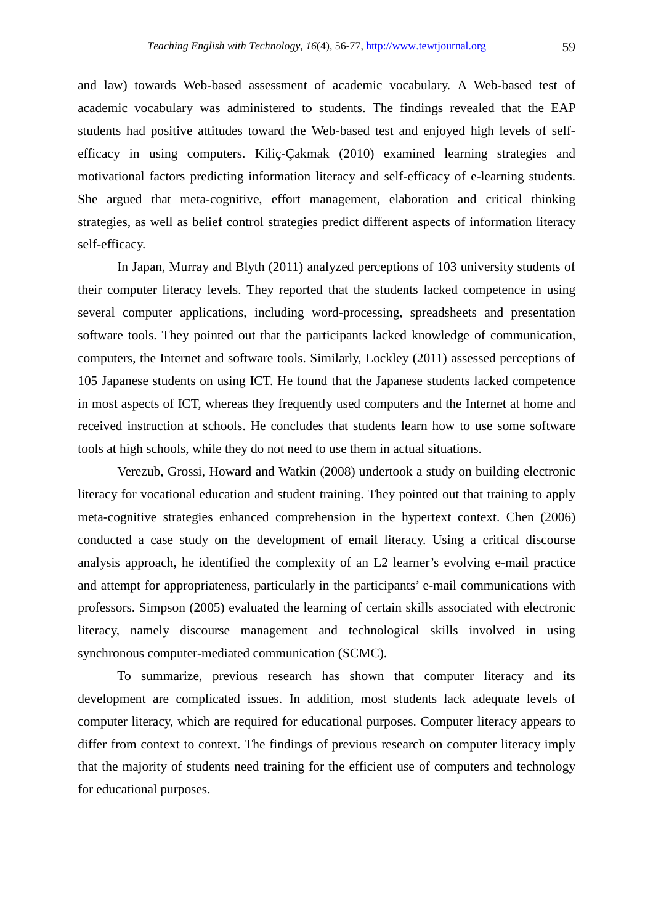and law) towards Web-based assessment of academic vocabulary. A Web-based test of academic vocabulary was administered to students. The findings revealed that the EAP students had positive attitudes toward the Web-based test and enjoyed high levels of selfefficacy in using computers. Kiliç-Çakmak (2010) examined learning strategies and motivational factors predicting information literacy and self-efficacy of e-learning students. She argued that meta-cognitive, effort management, elaboration and critical thinking strategies, as well as belief control strategies predict different aspects of information literacy self-efficacy.

In Japan, Murray and Blyth (2011) analyzed perceptions of 103 university students of their computer literacy levels. They reported that the students lacked competence in using several computer applications, including word-processing, spreadsheets and presentation software tools. They pointed out that the participants lacked knowledge of communication, computers, the Internet and software tools. Similarly, Lockley (2011) assessed perceptions of 105 Japanese students on using ICT. He found that the Japanese students lacked competence in most aspects of ICT, whereas they frequently used computers and the Internet at home and received instruction at schools. He concludes that students learn how to use some software tools at high schools, while they do not need to use them in actual situations.

Verezub, Grossi, Howard and Watkin (2008) undertook a study on building electronic literacy for vocational education and student training. They pointed out that training to apply meta-cognitive strategies enhanced comprehension in the hypertext context. Chen (2006) conducted a case study on the development of email literacy. Using a critical discourse analysis approach, he identified the complexity of an L2 learner's evolving e-mail practice and attempt for appropriateness, particularly in the participants' e-mail communications with professors. Simpson (2005) evaluated the learning of certain skills associated with electronic literacy, namely discourse management and technological skills involved in using synchronous computer-mediated communication (SCMC).

To summarize, previous research has shown that computer literacy and its development are complicated issues. In addition, most students lack adequate levels of computer literacy, which are required for educational purposes. Computer literacy appears to differ from context to context. The findings of previous research on computer literacy imply that the majority of students need training for the efficient use of computers and technology for educational purposes.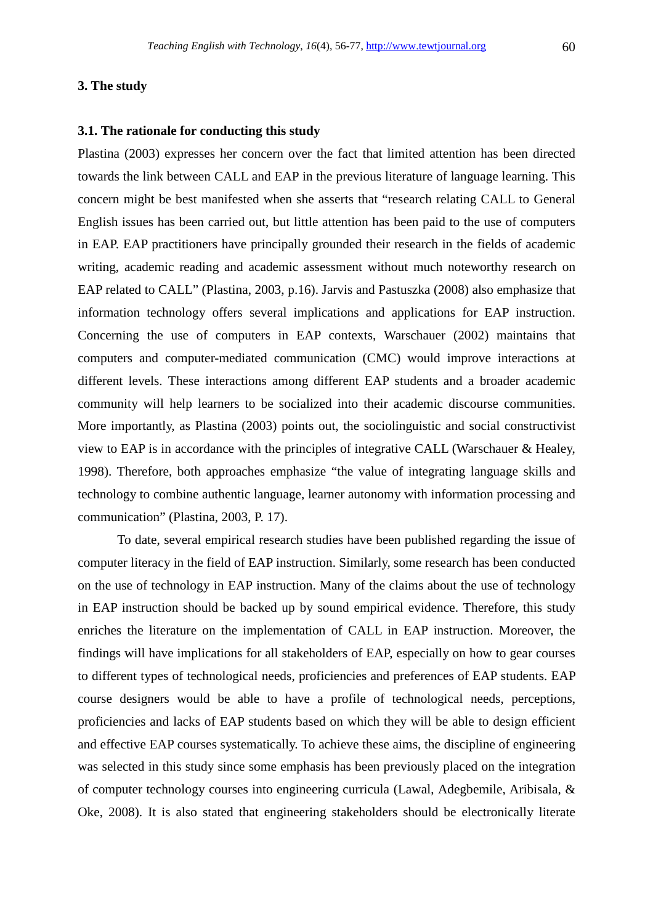**3. The study** 

### **3.1. The rationale for conducting this study**

Plastina (2003) expresses her concern over the fact that limited attention has been directed towards the link between CALL and EAP in the previous literature of language learning. This concern might be best manifested when she asserts that "research relating CALL to General English issues has been carried out, but little attention has been paid to the use of computers in EAP. EAP practitioners have principally grounded their research in the fields of academic writing, academic reading and academic assessment without much noteworthy research on EAP related to CALL" (Plastina, 2003, p.16). Jarvis and Pastuszka (2008) also emphasize that information technology offers several implications and applications for EAP instruction. Concerning the use of computers in EAP contexts, Warschauer (2002) maintains that computers and computer-mediated communication (CMC) would improve interactions at different levels. These interactions among different EAP students and a broader academic community will help learners to be socialized into their academic discourse communities. More importantly, as Plastina (2003) points out, the sociolinguistic and social constructivist view to EAP is in accordance with the principles of integrative CALL (Warschauer & Healey, 1998). Therefore, both approaches emphasize "the value of integrating language skills and technology to combine authentic language, learner autonomy with information processing and communication" (Plastina, 2003, P. 17).

To date, several empirical research studies have been published regarding the issue of computer literacy in the field of EAP instruction. Similarly, some research has been conducted on the use of technology in EAP instruction. Many of the claims about the use of technology in EAP instruction should be backed up by sound empirical evidence. Therefore, this study enriches the literature on the implementation of CALL in EAP instruction. Moreover, the findings will have implications for all stakeholders of EAP, especially on how to gear courses to different types of technological needs, proficiencies and preferences of EAP students. EAP course designers would be able to have a profile of technological needs, perceptions, proficiencies and lacks of EAP students based on which they will be able to design efficient and effective EAP courses systematically. To achieve these aims, the discipline of engineering was selected in this study since some emphasis has been previously placed on the integration of computer technology courses into engineering curricula (Lawal, Adegbemile, Aribisala, & Oke, 2008). It is also stated that engineering stakeholders should be electronically literate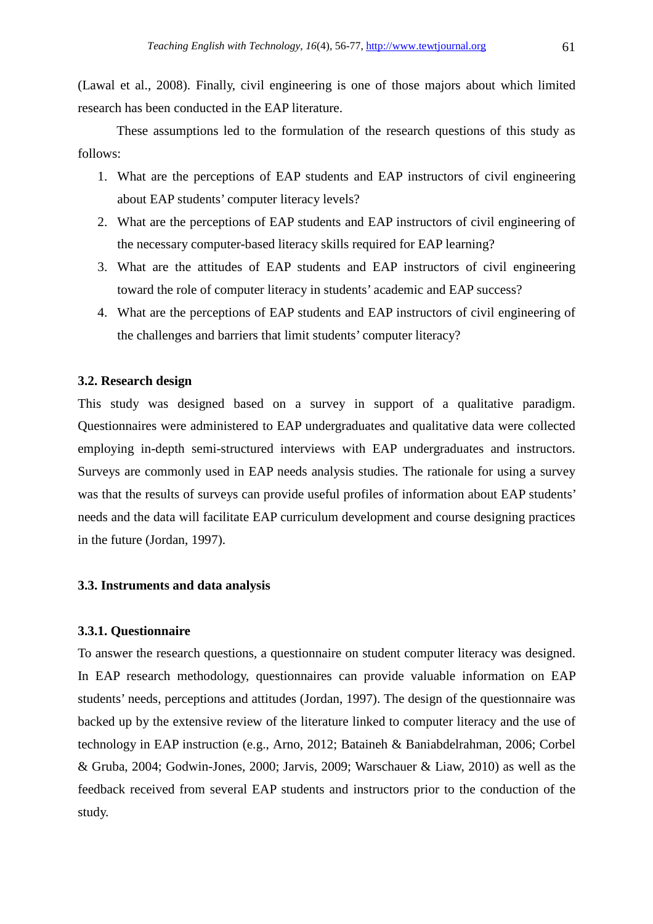(Lawal et al., 2008). Finally, civil engineering is one of those majors about which limited research has been conducted in the EAP literature.

These assumptions led to the formulation of the research questions of this study as follows:

- 1. What are the perceptions of EAP students and EAP instructors of civil engineering about EAP students' computer literacy levels?
- 2. What are the perceptions of EAP students and EAP instructors of civil engineering of the necessary computer-based literacy skills required for EAP learning?
- 3. What are the attitudes of EAP students and EAP instructors of civil engineering toward the role of computer literacy in students' academic and EAP success?
- 4. What are the perceptions of EAP students and EAP instructors of civil engineering of the challenges and barriers that limit students' computer literacy?

### **3.2. Research design**

This study was designed based on a survey in support of a qualitative paradigm. Questionnaires were administered to EAP undergraduates and qualitative data were collected employing in-depth semi-structured interviews with EAP undergraduates and instructors. Surveys are commonly used in EAP needs analysis studies. The rationale for using a survey was that the results of surveys can provide useful profiles of information about EAP students' needs and the data will facilitate EAP curriculum development and course designing practices in the future (Jordan, 1997).

### **3.3. Instruments and data analysis**

### **3.3.1. Questionnaire**

To answer the research questions, a questionnaire on student computer literacy was designed. In EAP research methodology, questionnaires can provide valuable information on EAP students' needs, perceptions and attitudes (Jordan, 1997). The design of the questionnaire was backed up by the extensive review of the literature linked to computer literacy and the use of technology in EAP instruction (e.g., Arno, 2012; Bataineh & Baniabdelrahman, 2006; Corbel & Gruba, 2004; Godwin-Jones, 2000; Jarvis, 2009; Warschauer & Liaw, 2010) as well as the feedback received from several EAP students and instructors prior to the conduction of the study.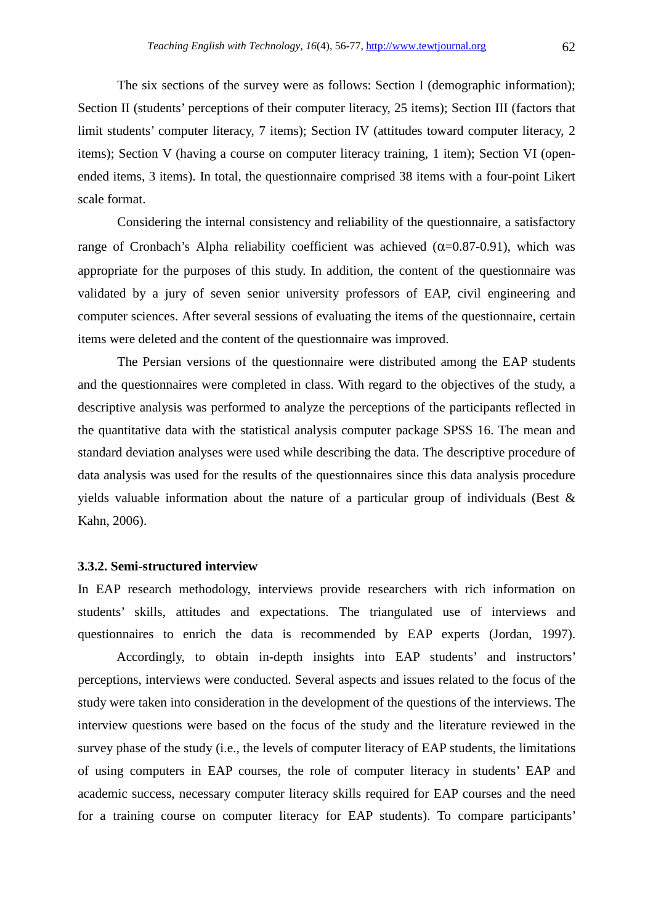The six sections of the survey were as follows: Section I (demographic information); Section II (students' perceptions of their computer literacy, 25 items); Section III (factors that limit students' computer literacy, 7 items); Section IV (attitudes toward computer literacy, 2 items); Section V (having a course on computer literacy training, 1 item); Section VI (openended items, 3 items). In total, the questionnaire comprised 38 items with a four-point Likert scale format.

Considering the internal consistency and reliability of the questionnaire, a satisfactory range of Cronbach's Alpha reliability coefficient was achieved  $(\alpha=0.87-0.91)$ , which was appropriate for the purposes of this study. In addition, the content of the questionnaire was validated by a jury of seven senior university professors of EAP, civil engineering and computer sciences. After several sessions of evaluating the items of the questionnaire, certain items were deleted and the content of the questionnaire was improved.

The Persian versions of the questionnaire were distributed among the EAP students and the questionnaires were completed in class. With regard to the objectives of the study, a descriptive analysis was performed to analyze the perceptions of the participants reflected in the quantitative data with the statistical analysis computer package SPSS 16. The mean and standard deviation analyses were used while describing the data. The descriptive procedure of data analysis was used for the results of the questionnaires since this data analysis procedure yields valuable information about the nature of a particular group of individuals (Best & Kahn, 2006).

### **3.3.2. Semi-structured interview**

In EAP research methodology, interviews provide researchers with rich information on students' skills, attitudes and expectations. The triangulated use of interviews and questionnaires to enrich the data is recommended by EAP experts (Jordan, 1997).

 Accordingly, to obtain in-depth insights into EAP students' and instructors' perceptions, interviews were conducted. Several aspects and issues related to the focus of the study were taken into consideration in the development of the questions of the interviews. The interview questions were based on the focus of the study and the literature reviewed in the survey phase of the study (i.e., the levels of computer literacy of EAP students, the limitations of using computers in EAP courses, the role of computer literacy in students' EAP and academic success, necessary computer literacy skills required for EAP courses and the need for a training course on computer literacy for EAP students). To compare participants'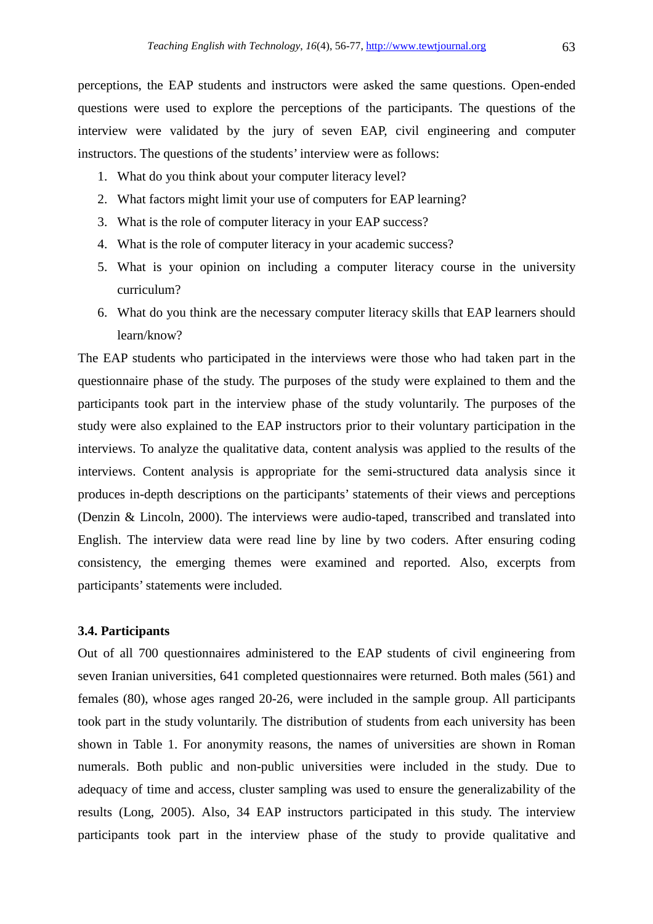perceptions, the EAP students and instructors were asked the same questions. Open-ended questions were used to explore the perceptions of the participants. The questions of the interview were validated by the jury of seven EAP, civil engineering and computer instructors. The questions of the students' interview were as follows:

- 1. What do you think about your computer literacy level?
- 2. What factors might limit your use of computers for EAP learning?
- 3. What is the role of computer literacy in your EAP success?
- 4. What is the role of computer literacy in your academic success?
- 5. What is your opinion on including a computer literacy course in the university curriculum?
- 6. What do you think are the necessary computer literacy skills that EAP learners should learn/know?

The EAP students who participated in the interviews were those who had taken part in the questionnaire phase of the study. The purposes of the study were explained to them and the participants took part in the interview phase of the study voluntarily. The purposes of the study were also explained to the EAP instructors prior to their voluntary participation in the interviews. To analyze the qualitative data, content analysis was applied to the results of the interviews. Content analysis is appropriate for the semi-structured data analysis since it produces in-depth descriptions on the participants' statements of their views and perceptions (Denzin & Lincoln, 2000). The interviews were audio-taped, transcribed and translated into English. The interview data were read line by line by two coders. After ensuring coding consistency, the emerging themes were examined and reported. Also, excerpts from participants' statements were included.

### **3.4. Participants**

Out of all 700 questionnaires administered to the EAP students of civil engineering from seven Iranian universities, 641 completed questionnaires were returned. Both males (561) and females (80), whose ages ranged 20-26, were included in the sample group. All participants took part in the study voluntarily. The distribution of students from each university has been shown in Table 1. For anonymity reasons, the names of universities are shown in Roman numerals. Both public and non-public universities were included in the study. Due to adequacy of time and access, cluster sampling was used to ensure the generalizability of the results (Long, 2005). Also, 34 EAP instructors participated in this study. The interview participants took part in the interview phase of the study to provide qualitative and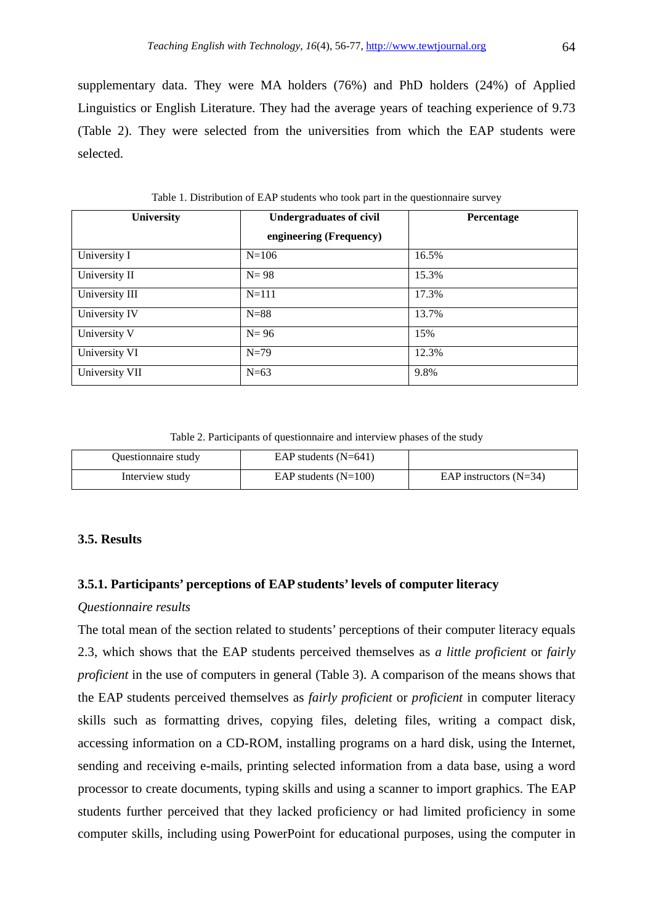supplementary data. They were MA holders (76%) and PhD holders (24%) of Applied Linguistics or English Literature. They had the average years of teaching experience of 9.73 (Table 2). They were selected from the universities from which the EAP students were selected.

| <b>University</b> | <b>Undergraduates of civil</b> | Percentage |
|-------------------|--------------------------------|------------|
|                   | engineering (Frequency)        |            |
| University I      | $N = 106$                      | 16.5%      |
| University II     | $N=98$                         | 15.3%      |
| University III    | $N = 111$                      | 17.3%      |
| University IV     | $N=88$                         | 13.7%      |
| University V      | $N=96$                         | 15%        |
| University VI     | $N=79$                         | 12.3%      |
| University VII    | $N=63$                         | 9.8%       |

Table 1. Distribution of EAP students who took part in the questionnaire survey

Table 2. Participants of questionnaire and interview phases of the study

| Questionnaire study | EAP students $(N=641)$ |                          |
|---------------------|------------------------|--------------------------|
| Interview study     | EAP students $(N=100)$ | EAP instructors $(N=34)$ |

### **3.5. Results**

### **3.5.1. Participants' perceptions of EAP students' levels of computer literacy**

### *Questionnaire results*

The total mean of the section related to students' perceptions of their computer literacy equals 2.3, which shows that the EAP students perceived themselves as *a little proficient* or *fairly proficient* in the use of computers in general (Table 3). A comparison of the means shows that the EAP students perceived themselves as *fairly proficient* or *proficient* in computer literacy skills such as formatting drives, copying files, deleting files, writing a compact disk, accessing information on a CD-ROM, installing programs on a hard disk, using the Internet, sending and receiving e-mails, printing selected information from a data base, using a word processor to create documents, typing skills and using a scanner to import graphics. The EAP students further perceived that they lacked proficiency or had limited proficiency in some computer skills, including using PowerPoint for educational purposes, using the computer in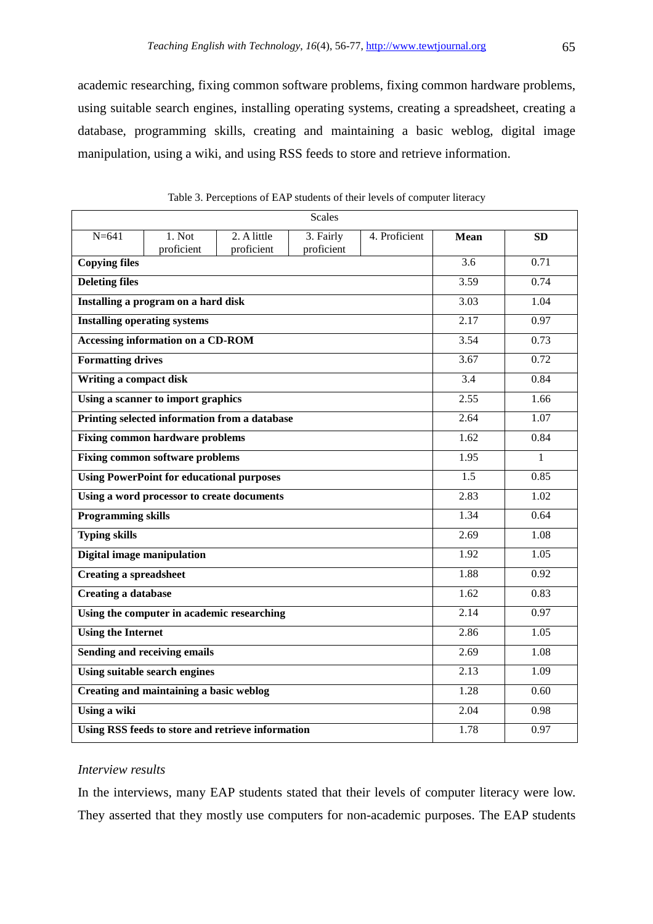academic researching, fixing common software problems, fixing common hardware problems, using suitable search engines, installing operating systems, creating a spreadsheet, creating a database, programming skills, creating and maintaining a basic weblog, digital image manipulation, using a wiki, and using RSS feeds to store and retrieve information.

|                                                   |                                                  |                                               | <b>Scales</b>           |               |             |                   |
|---------------------------------------------------|--------------------------------------------------|-----------------------------------------------|-------------------------|---------------|-------------|-------------------|
| $N = 641$                                         | 1. Not<br>proficient                             | 2. A little<br>proficient                     | 3. Fairly<br>proficient | 4. Proficient | <b>Mean</b> | <b>SD</b>         |
| <b>Copying files</b>                              |                                                  |                                               |                         |               | 3.6         | 0.71              |
| <b>Deleting files</b>                             |                                                  |                                               |                         |               | 3.59        | 0.74              |
|                                                   | Installing a program on a hard disk              |                                               |                         |               | 3.03        | 1.04              |
|                                                   | <b>Installing operating systems</b>              |                                               |                         |               | 2.17        | 0.97              |
|                                                   | Accessing information on a CD-ROM                |                                               |                         |               | 3.54        | 0.73              |
| <b>Formatting drives</b>                          |                                                  |                                               |                         |               | 3.67        | 0.72              |
| Writing a compact disk                            |                                                  |                                               |                         |               | 3.4         | 0.84              |
|                                                   | Using a scanner to import graphics               |                                               |                         |               | 2.55        | 1.66              |
|                                                   |                                                  | Printing selected information from a database |                         |               | 2.64        | 1.07              |
|                                                   | <b>Fixing common hardware problems</b>           |                                               |                         |               | 1.62        | 0.84              |
|                                                   | <b>Fixing common software problems</b>           |                                               |                         |               | 1.95        | $\mathbf{1}$      |
|                                                   | <b>Using PowerPoint for educational purposes</b> |                                               |                         |               | 1.5         | 0.85              |
| Using a word processor to create documents        |                                                  |                                               |                         | 2.83          | 1.02        |                   |
| <b>Programming skills</b>                         |                                                  |                                               |                         |               | 1.34        | 0.64              |
| <b>Typing skills</b>                              |                                                  |                                               |                         |               | 2.69        | $\overline{1.08}$ |
| Digital image manipulation                        |                                                  |                                               |                         |               | 1.92        | 1.05              |
| <b>Creating a spreadsheet</b>                     |                                                  |                                               |                         |               | 1.88        | 0.92              |
| <b>Creating a database</b>                        |                                                  |                                               |                         |               | 1.62        | 0.83              |
|                                                   | Using the computer in academic researching       |                                               |                         |               | 2.14        | 0.97              |
| <b>Using the Internet</b>                         |                                                  |                                               |                         |               | 2.86        | 1.05              |
|                                                   | Sending and receiving emails                     |                                               |                         |               | 2.69        | $\overline{1.08}$ |
|                                                   | <b>Using suitable search engines</b>             |                                               |                         |               | 2.13        | 1.09              |
|                                                   | Creating and maintaining a basic weblog          |                                               |                         |               | 1.28        | 0.60              |
| Using a wiki                                      |                                                  |                                               |                         |               | 2.04        | 0.98              |
| Using RSS feeds to store and retrieve information |                                                  |                                               |                         |               | 1.78        | 0.97              |

Table 3. Perceptions of EAP students of their levels of computer literacy

### *Interview results*

In the interviews, many EAP students stated that their levels of computer literacy were low. They asserted that they mostly use computers for non-academic purposes. The EAP students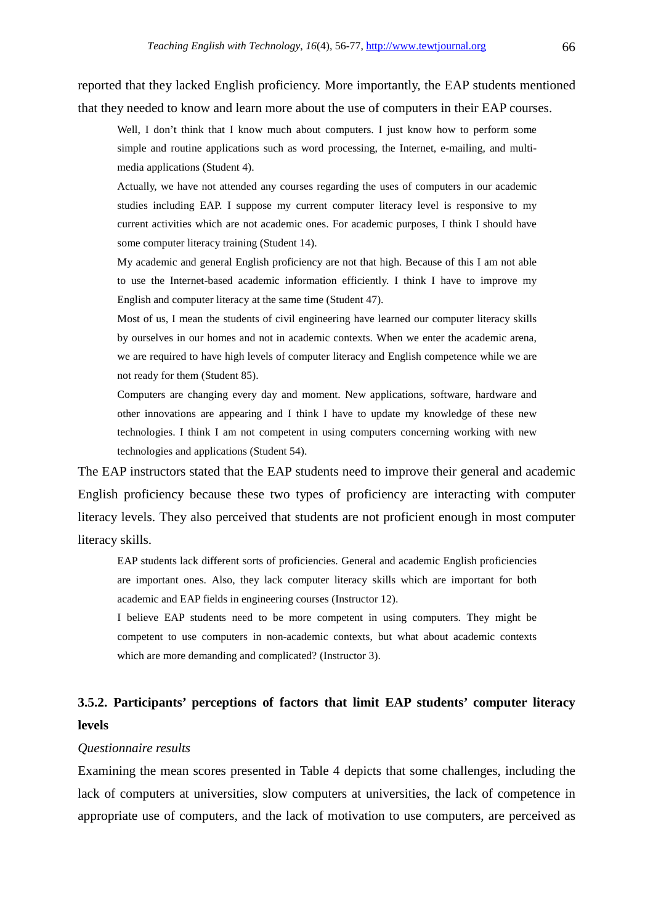reported that they lacked English proficiency. More importantly, the EAP students mentioned that they needed to know and learn more about the use of computers in their EAP courses.

Well, I don't think that I know much about computers. I just know how to perform some simple and routine applications such as word processing, the Internet, e-mailing, and multimedia applications (Student 4).

Actually, we have not attended any courses regarding the uses of computers in our academic studies including EAP. I suppose my current computer literacy level is responsive to my current activities which are not academic ones. For academic purposes, I think I should have some computer literacy training (Student 14).

My academic and general English proficiency are not that high. Because of this I am not able to use the Internet-based academic information efficiently. I think I have to improve my English and computer literacy at the same time (Student 47).

Most of us, I mean the students of civil engineering have learned our computer literacy skills by ourselves in our homes and not in academic contexts. When we enter the academic arena, we are required to have high levels of computer literacy and English competence while we are not ready for them (Student 85).

Computers are changing every day and moment. New applications, software, hardware and other innovations are appearing and I think I have to update my knowledge of these new technologies. I think I am not competent in using computers concerning working with new technologies and applications (Student 54).

The EAP instructors stated that the EAP students need to improve their general and academic English proficiency because these two types of proficiency are interacting with computer literacy levels. They also perceived that students are not proficient enough in most computer literacy skills.

EAP students lack different sorts of proficiencies. General and academic English proficiencies are important ones. Also, they lack computer literacy skills which are important for both academic and EAP fields in engineering courses (Instructor 12).

I believe EAP students need to be more competent in using computers. They might be competent to use computers in non-academic contexts, but what about academic contexts which are more demanding and complicated? (Instructor 3).

### **3.5.2. Participants' perceptions of factors that limit EAP students' computer literacy levels**

### *Questionnaire results*

Examining the mean scores presented in Table 4 depicts that some challenges, including the lack of computers at universities, slow computers at universities, the lack of competence in appropriate use of computers, and the lack of motivation to use computers, are perceived as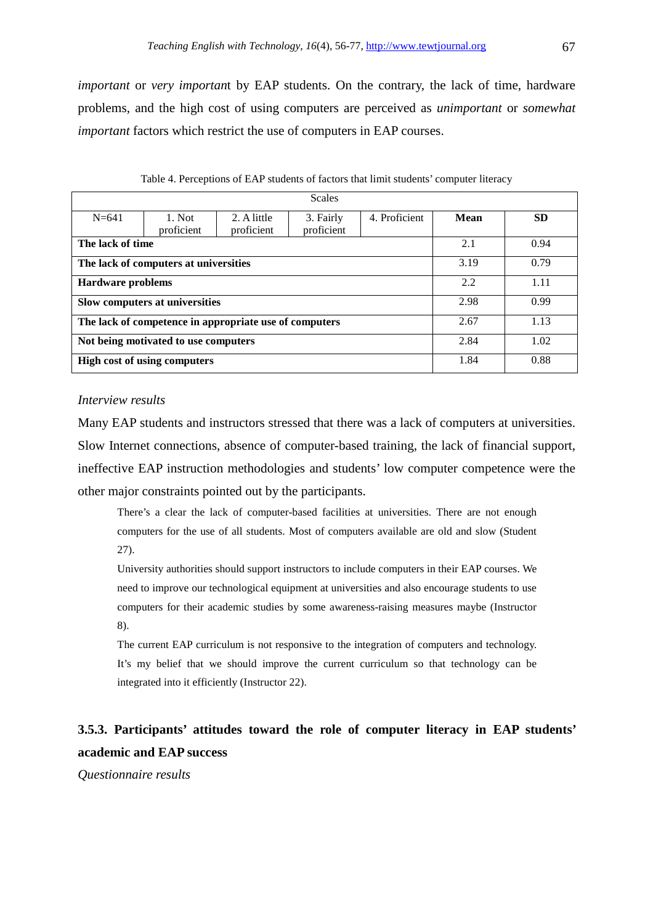*important* or *very importan*t by EAP students. On the contrary, the lack of time, hardware problems, and the high cost of using computers are perceived as *unimportant* or *somewhat important* factors which restrict the use of computers in EAP courses.

|                                                        | <b>Scales</b> |             |            |               |      |           |  |
|--------------------------------------------------------|---------------|-------------|------------|---------------|------|-----------|--|
|                                                        |               |             |            |               |      |           |  |
| $N = 641$                                              | $1.$ Not      | 2. A little | 3. Fairly  | 4. Proficient | Mean | <b>SD</b> |  |
|                                                        | proficient    | proficient  | proficient |               |      |           |  |
| The lack of time                                       |               |             |            |               | 2.1  | 0.94      |  |
| The lack of computers at universities                  |               |             |            |               | 3.19 | 0.79      |  |
| <b>Hardware problems</b>                               |               |             |            |               | 2.2  | 1.11      |  |
| Slow computers at universities                         |               |             |            |               | 2.98 | 0.99      |  |
| The lack of competence in appropriate use of computers |               |             |            |               | 2.67 | 1.13      |  |
| Not being motivated to use computers                   |               |             |            |               | 2.84 | 1.02      |  |
| <b>High cost of using computers</b>                    |               |             |            |               | 1.84 | 0.88      |  |

|  |  | Table 4. Perceptions of EAP students of factors that limit students' computer literacy |
|--|--|----------------------------------------------------------------------------------------|
|--|--|----------------------------------------------------------------------------------------|

### *Interview results*

Many EAP students and instructors stressed that there was a lack of computers at universities. Slow Internet connections, absence of computer-based training, the lack of financial support, ineffective EAP instruction methodologies and students' low computer competence were the other major constraints pointed out by the participants.

There's a clear the lack of computer-based facilities at universities. There are not enough computers for the use of all students. Most of computers available are old and slow (Student 27).

University authorities should support instructors to include computers in their EAP courses. We need to improve our technological equipment at universities and also encourage students to use computers for their academic studies by some awareness-raising measures maybe (Instructor 8).

The current EAP curriculum is not responsive to the integration of computers and technology. It's my belief that we should improve the current curriculum so that technology can be integrated into it efficiently (Instructor 22).

### **3.5.3. Participants' attitudes toward the role of computer literacy in EAP students' academic and EAP success**

*Questionnaire results*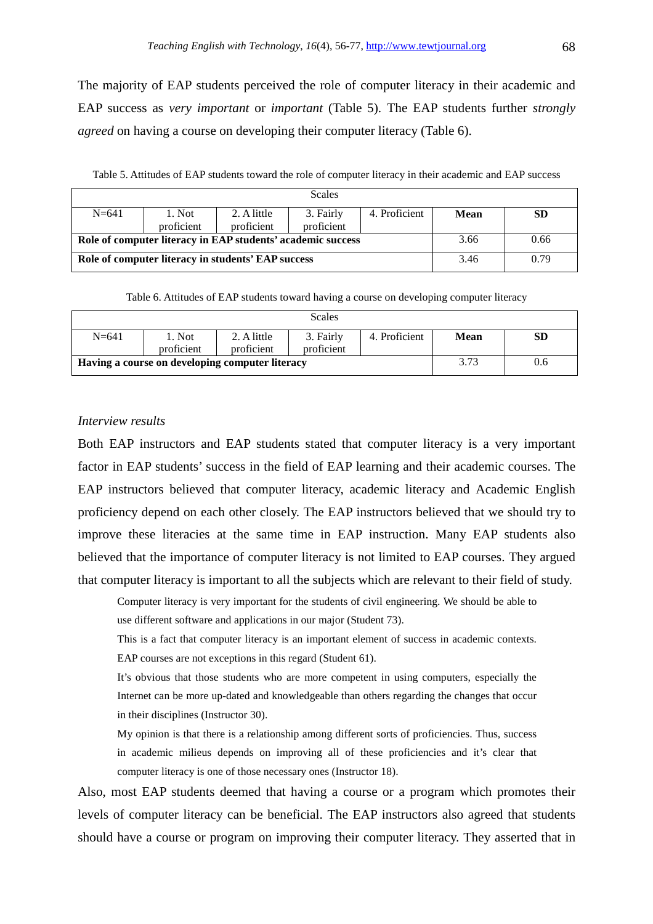The majority of EAP students perceived the role of computer literacy in their academic and EAP success as *very important* or *important* (Table 5). The EAP students further *strongly agreed* on having a course on developing their computer literacy (Table 6).

Table 5. Attitudes of EAP students toward the role of computer literacy in their academic and EAP success

| <b>Scales</b> |                                                             |                           |                         |               |      |    |
|---------------|-------------------------------------------------------------|---------------------------|-------------------------|---------------|------|----|
| $N = 641$     | 1. Not                                                      | 2. A little<br>proficient | 3. Fairly<br>proficient | 4. Proficient | Mean | SD |
|               | proficient                                                  |                           |                         |               |      |    |
|               | Role of computer literacy in EAP students' academic success | 3.66                      | 0.66                    |               |      |    |
|               | Role of computer literacy in students' EAP success          | 3.46                      | 0.79                    |               |      |    |

Table 6. Attitudes of EAP students toward having a course on developing computer literacy

|                                                 |                   |                           | Scales                  |               |      |     |
|-------------------------------------------------|-------------------|---------------------------|-------------------------|---------------|------|-----|
| $N = 641$                                       | Not<br>proficient | 2. A little<br>proficient | 3. Fairly<br>proficient | 4. Proficient | Mean | SD  |
| Having a course on developing computer literacy |                   |                           |                         |               | 3.73 | 0.6 |

### *Interview results*

Both EAP instructors and EAP students stated that computer literacy is a very important factor in EAP students' success in the field of EAP learning and their academic courses. The EAP instructors believed that computer literacy, academic literacy and Academic English proficiency depend on each other closely. The EAP instructors believed that we should try to improve these literacies at the same time in EAP instruction. Many EAP students also believed that the importance of computer literacy is not limited to EAP courses. They argued that computer literacy is important to all the subjects which are relevant to their field of study.

Computer literacy is very important for the students of civil engineering. We should be able to use different software and applications in our major (Student 73).

This is a fact that computer literacy is an important element of success in academic contexts. EAP courses are not exceptions in this regard (Student 61).

It's obvious that those students who are more competent in using computers, especially the Internet can be more up-dated and knowledgeable than others regarding the changes that occur in their disciplines (Instructor 30).

My opinion is that there is a relationship among different sorts of proficiencies. Thus, success in academic milieus depends on improving all of these proficiencies and it's clear that computer literacy is one of those necessary ones (Instructor 18).

Also, most EAP students deemed that having a course or a program which promotes their levels of computer literacy can be beneficial. The EAP instructors also agreed that students should have a course or program on improving their computer literacy. They asserted that in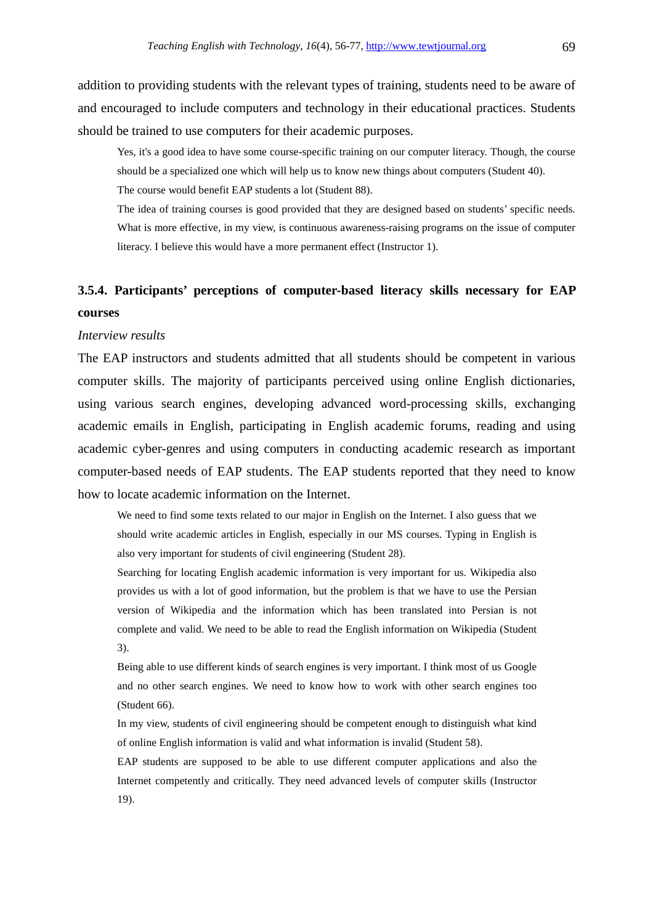addition to providing students with the relevant types of training, students need to be aware of and encouraged to include computers and technology in their educational practices. Students should be trained to use computers for their academic purposes.

Yes, it's a good idea to have some course-specific training on our computer literacy. Though, the course should be a specialized one which will help us to know new things about computers (Student 40).

The course would benefit EAP students a lot (Student 88).

The idea of training courses is good provided that they are designed based on students' specific needs. What is more effective, in my view, is continuous awareness-raising programs on the issue of computer literacy. I believe this would have a more permanent effect (Instructor 1).

## **3.5.4. Participants' perceptions of computer-based literacy skills necessary for EAP courses**

#### *Interview results*

The EAP instructors and students admitted that all students should be competent in various computer skills. The majority of participants perceived using online English dictionaries, using various search engines, developing advanced word-processing skills, exchanging academic emails in English, participating in English academic forums, reading and using academic cyber-genres and using computers in conducting academic research as important computer-based needs of EAP students. The EAP students reported that they need to know how to locate academic information on the Internet.

We need to find some texts related to our major in English on the Internet. I also guess that we should write academic articles in English, especially in our MS courses. Typing in English is also very important for students of civil engineering (Student 28).

Searching for locating English academic information is very important for us. Wikipedia also provides us with a lot of good information, but the problem is that we have to use the Persian version of Wikipedia and the information which has been translated into Persian is not complete and valid. We need to be able to read the English information on Wikipedia (Student 3).

Being able to use different kinds of search engines is very important. I think most of us Google and no other search engines. We need to know how to work with other search engines too (Student 66).

In my view, students of civil engineering should be competent enough to distinguish what kind of online English information is valid and what information is invalid (Student 58).

EAP students are supposed to be able to use different computer applications and also the Internet competently and critically. They need advanced levels of computer skills (Instructor 19).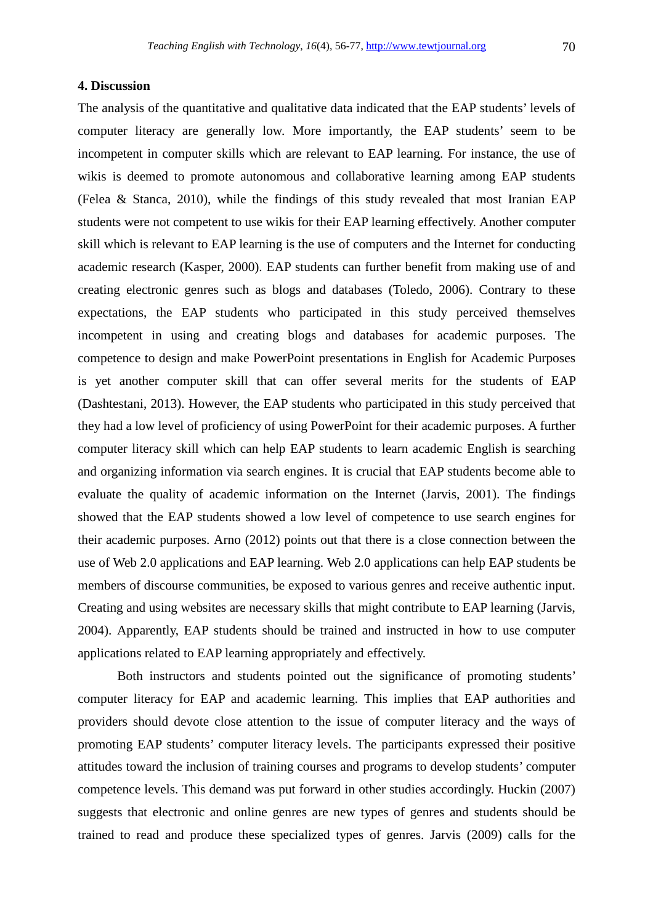### **4. Discussion**

The analysis of the quantitative and qualitative data indicated that the EAP students' levels of computer literacy are generally low. More importantly, the EAP students' seem to be incompetent in computer skills which are relevant to EAP learning. For instance, the use of wikis is deemed to promote autonomous and collaborative learning among EAP students (Felea & Stanca, 2010), while the findings of this study revealed that most Iranian EAP students were not competent to use wikis for their EAP learning effectively. Another computer skill which is relevant to EAP learning is the use of computers and the Internet for conducting academic research (Kasper, 2000). EAP students can further benefit from making use of and creating electronic genres such as blogs and databases (Toledo, 2006). Contrary to these expectations, the EAP students who participated in this study perceived themselves incompetent in using and creating blogs and databases for academic purposes. The competence to design and make PowerPoint presentations in English for Academic Purposes is yet another computer skill that can offer several merits for the students of EAP (Dashtestani, 2013). However, the EAP students who participated in this study perceived that they had a low level of proficiency of using PowerPoint for their academic purposes. A further computer literacy skill which can help EAP students to learn academic English is searching and organizing information via search engines. It is crucial that EAP students become able to evaluate the quality of academic information on the Internet (Jarvis, 2001). The findings showed that the EAP students showed a low level of competence to use search engines for their academic purposes. Arno (2012) points out that there is a close connection between the use of Web 2.0 applications and EAP learning. Web 2.0 applications can help EAP students be members of discourse communities, be exposed to various genres and receive authentic input. Creating and using websites are necessary skills that might contribute to EAP learning (Jarvis, 2004). Apparently, EAP students should be trained and instructed in how to use computer applications related to EAP learning appropriately and effectively.

Both instructors and students pointed out the significance of promoting students' computer literacy for EAP and academic learning. This implies that EAP authorities and providers should devote close attention to the issue of computer literacy and the ways of promoting EAP students' computer literacy levels. The participants expressed their positive attitudes toward the inclusion of training courses and programs to develop students' computer competence levels. This demand was put forward in other studies accordingly. Huckin (2007) suggests that electronic and online genres are new types of genres and students should be trained to read and produce these specialized types of genres. Jarvis (2009) calls for the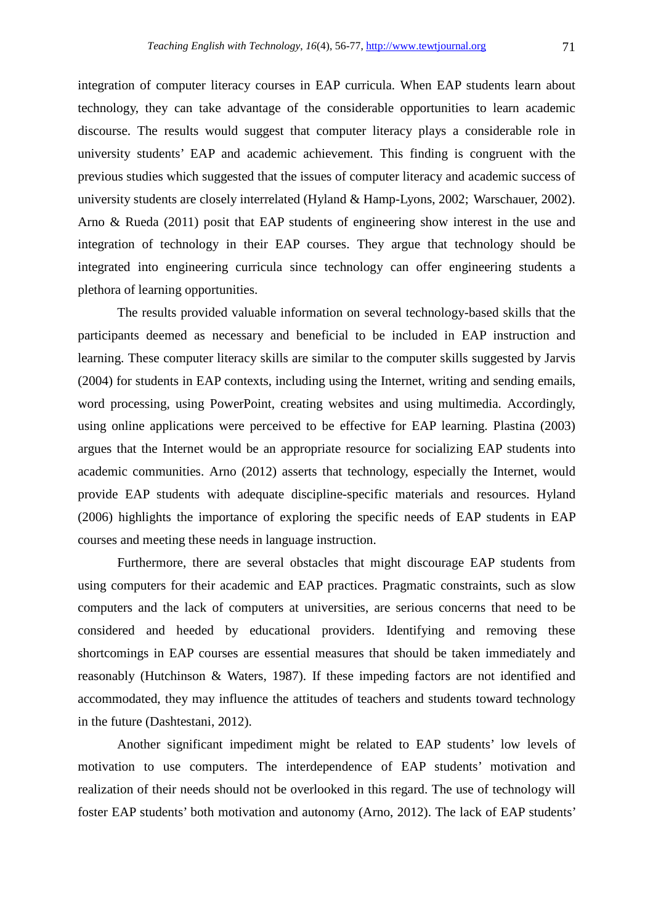integration of computer literacy courses in EAP curricula. When EAP students learn about technology, they can take advantage of the considerable opportunities to learn academic discourse. The results would suggest that computer literacy plays a considerable role in university students' EAP and academic achievement. This finding is congruent with the previous studies which suggested that the issues of computer literacy and academic success of university students are closely interrelated (Hyland & Hamp-Lyons, 2002; Warschauer, 2002). Arno & Rueda (2011) posit that EAP students of engineering show interest in the use and integration of technology in their EAP courses. They argue that technology should be integrated into engineering curricula since technology can offer engineering students a plethora of learning opportunities.

The results provided valuable information on several technology-based skills that the participants deemed as necessary and beneficial to be included in EAP instruction and learning. These computer literacy skills are similar to the computer skills suggested by Jarvis (2004) for students in EAP contexts, including using the Internet, writing and sending emails, word processing, using PowerPoint, creating websites and using multimedia. Accordingly, using online applications were perceived to be effective for EAP learning. Plastina (2003) argues that the Internet would be an appropriate resource for socializing EAP students into academic communities. Arno (2012) asserts that technology, especially the Internet, would provide EAP students with adequate discipline-specific materials and resources. Hyland (2006) highlights the importance of exploring the specific needs of EAP students in EAP courses and meeting these needs in language instruction.

Furthermore, there are several obstacles that might discourage EAP students from using computers for their academic and EAP practices. Pragmatic constraints, such as slow computers and the lack of computers at universities, are serious concerns that need to be considered and heeded by educational providers. Identifying and removing these shortcomings in EAP courses are essential measures that should be taken immediately and reasonably (Hutchinson & Waters, 1987). If these impeding factors are not identified and accommodated, they may influence the attitudes of teachers and students toward technology in the future (Dashtestani, 2012).

Another significant impediment might be related to EAP students' low levels of motivation to use computers. The interdependence of EAP students' motivation and realization of their needs should not be overlooked in this regard. The use of technology will foster EAP students' both motivation and autonomy (Arno, 2012). The lack of EAP students'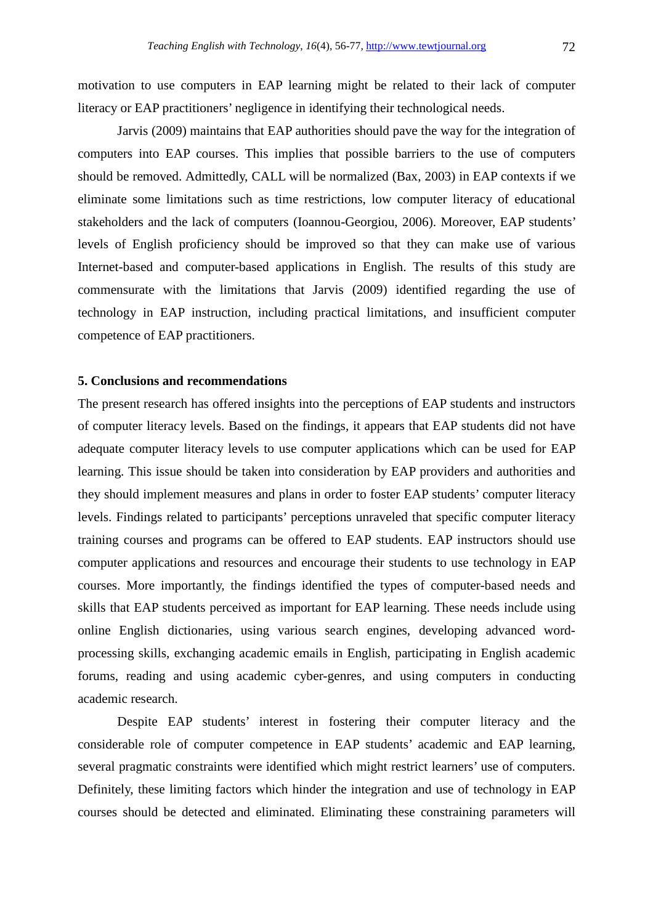motivation to use computers in EAP learning might be related to their lack of computer literacy or EAP practitioners' negligence in identifying their technological needs.

Jarvis (2009) maintains that EAP authorities should pave the way for the integration of computers into EAP courses. This implies that possible barriers to the use of computers should be removed. Admittedly, CALL will be normalized (Bax, 2003) in EAP contexts if we eliminate some limitations such as time restrictions, low computer literacy of educational stakeholders and the lack of computers (Ioannou-Georgiou, 2006). Moreover, EAP students' levels of English proficiency should be improved so that they can make use of various Internet-based and computer-based applications in English. The results of this study are commensurate with the limitations that Jarvis (2009) identified regarding the use of technology in EAP instruction, including practical limitations, and insufficient computer competence of EAP practitioners.

### **5. Conclusions and recommendations**

The present research has offered insights into the perceptions of EAP students and instructors of computer literacy levels. Based on the findings, it appears that EAP students did not have adequate computer literacy levels to use computer applications which can be used for EAP learning. This issue should be taken into consideration by EAP providers and authorities and they should implement measures and plans in order to foster EAP students' computer literacy levels. Findings related to participants' perceptions unraveled that specific computer literacy training courses and programs can be offered to EAP students. EAP instructors should use computer applications and resources and encourage their students to use technology in EAP courses. More importantly, the findings identified the types of computer-based needs and skills that EAP students perceived as important for EAP learning. These needs include using online English dictionaries, using various search engines, developing advanced wordprocessing skills, exchanging academic emails in English, participating in English academic forums, reading and using academic cyber-genres, and using computers in conducting academic research.

Despite EAP students' interest in fostering their computer literacy and the considerable role of computer competence in EAP students' academic and EAP learning, several pragmatic constraints were identified which might restrict learners' use of computers. Definitely, these limiting factors which hinder the integration and use of technology in EAP courses should be detected and eliminated. Eliminating these constraining parameters will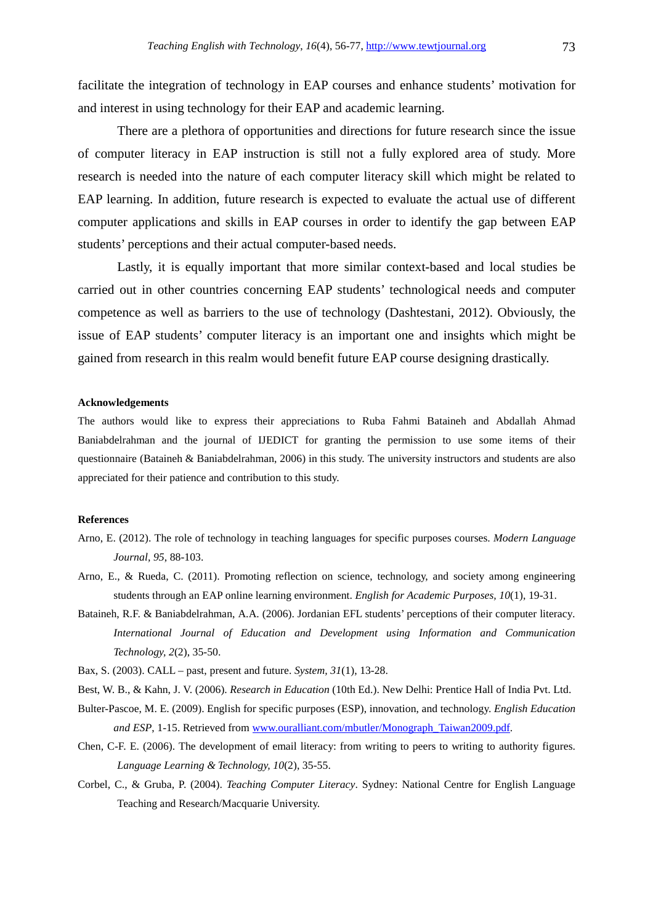facilitate the integration of technology in EAP courses and enhance students' motivation for and interest in using technology for their EAP and academic learning.

There are a plethora of opportunities and directions for future research since the issue of computer literacy in EAP instruction is still not a fully explored area of study. More research is needed into the nature of each computer literacy skill which might be related to EAP learning. In addition, future research is expected to evaluate the actual use of different computer applications and skills in EAP courses in order to identify the gap between EAP students' perceptions and their actual computer-based needs.

Lastly, it is equally important that more similar context-based and local studies be carried out in other countries concerning EAP students' technological needs and computer competence as well as barriers to the use of technology (Dashtestani, 2012). Obviously, the issue of EAP students' computer literacy is an important one and insights which might be gained from research in this realm would benefit future EAP course designing drastically.

### **Acknowledgements**

The authors would like to express their appreciations to Ruba Fahmi Bataineh and Abdallah Ahmad Baniabdelrahman and the journal of IJEDICT for granting the permission to use some items of their questionnaire (Bataineh & Baniabdelrahman, 2006) in this study. The university instructors and students are also appreciated for their patience and contribution to this study.

#### **References**

- Arno, E. (2012). The role of technology in teaching languages for specific purposes courses. *Modern Language Journal, 95*, 88-103.
- Arno, E., & Rueda, C. (2011). Promoting reflection on science, technology, and society among engineering students through an EAP online learning environment. *English for Academic Purposes, 10*(1), 19-31.
- Bataineh, R.F. & Baniabdelrahman, A.A. (2006). Jordanian EFL students' perceptions of their computer literacy*. International Journal of Education and Development using Information and Communication Technology, 2*(2), 35-50.
- Bax, S. (2003). CALL past, present and future. *System, 31*(1), 13-28.

Best, W. B., & Kahn, J. V. (2006). *Research in Education* (10th Ed.). New Delhi: Prentice Hall of India Pvt. Ltd.

- Bulter-Pascoe, M. E. (2009). English for specific purposes (ESP), innovation, and technology. *English Education and ESP*, 1-15. Retrieved from www.ouralliant.com/mbutler/Monograph\_Taiwan2009.pdf.
- Chen, C-F. E. (2006). The development of email literacy: from writing to peers to writing to authority figures. *Language Learning & Technology, 10*(2), 35-55.
- Corbel, C., & Gruba, P. (2004). *Teaching Computer Literacy*. Sydney: National Centre for English Language Teaching and Research/Macquarie University.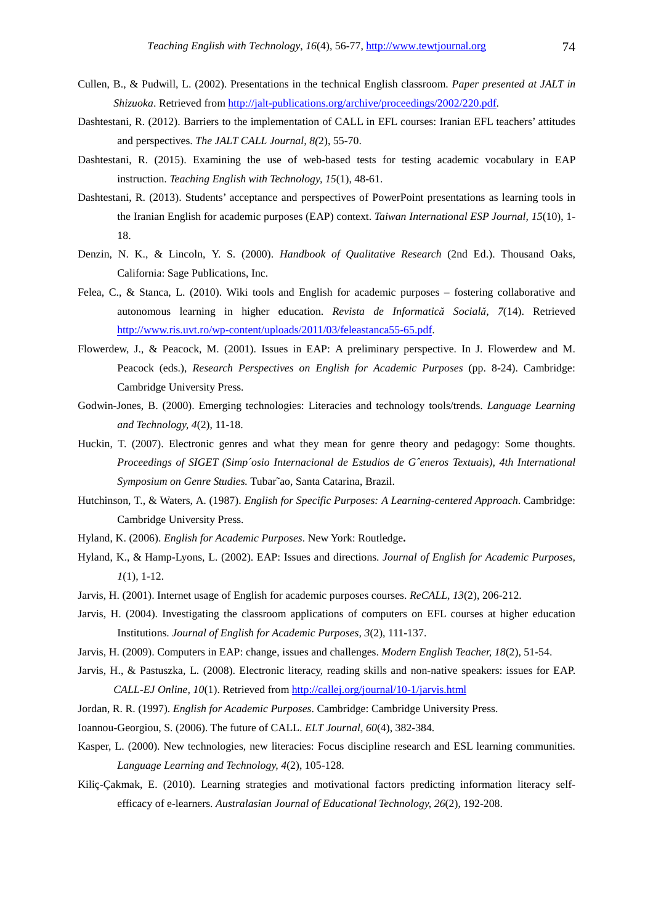- Cullen, B., & Pudwill, L. (2002). Presentations in the technical English classroom. *Paper presented at JALT in Shizuoka*. Retrieved from http://jalt-publications.org/archive/proceedings/2002/220.pdf.
- Dashtestani, R. (2012). Barriers to the implementation of CALL in EFL courses: Iranian EFL teachers' attitudes and perspectives. *The JALT CALL Journal, 8(*2), 55-70.
- Dashtestani, R. (2015). Examining the use of web-based tests for testing academic vocabulary in EAP instruction. *Teaching English with Technology, 15*(1), 48-61.
- Dashtestani, R. (2013). Students' acceptance and perspectives of PowerPoint presentations as learning tools in the Iranian English for academic purposes (EAP) context. *Taiwan International ESP Journal, 15*(10), 1- 18.
- Denzin, N. K., & Lincoln, Y. S. (2000). *Handbook of Qualitative Research* (2nd Ed.). Thousand Oaks, California: Sage Publications, Inc.
- Felea, C., & Stanca, L. (2010). Wiki tools and English for academic purposes fostering collaborative and autonomous learning in higher education. *Revista de Informatică Socială, 7*(14). Retrieved http://www.ris.uvt.ro/wp-content/uploads/2011/03/feleastanca55-65.pdf.
- Flowerdew, J., & Peacock, M. (2001). Issues in EAP: A preliminary perspective. In J. Flowerdew and M. Peacock (eds.), *Research Perspectives on English for Academic Purposes* (pp. 8-24). Cambridge: Cambridge University Press.
- Godwin-Jones, B. (2000). Emerging technologies: Literacies and technology tools/trends. *Language Learning and Technology, 4*(2), 11-18.
- Huckin, T. (2007). Electronic genres and what they mean for genre theory and pedagogy: Some thoughts. *Proceedings of SIGET (Simp´osio Internacional de Estudios de Gˆeneros Textuais), 4th International Symposium on Genre Studies.* Tubar˜ao, Santa Catarina, Brazil.
- Hutchinson, T., & Waters, A. (1987). *English for Specific Purposes: A Learning-centered Approach*. Cambridge: Cambridge University Press.
- Hyland, K. (2006). *English for Academic Purposes*. New York: Routledge**.**
- Hyland, K., & Hamp-Lyons, L. (2002). EAP: Issues and directions. *Journal of English for Academic Purposes, 1*(1), 1-12.
- Jarvis, H. (2001). Internet usage of English for academic purposes courses. *ReCALL, 13*(2), 206-212.
- Jarvis, H. (2004). Investigating the classroom applications of computers on EFL courses at higher education Institutions. *Journal of English for Academic Purposes, 3*(2), 111-137.
- Jarvis, H. (2009). Computers in EAP: change, issues and challenges. *Modern English Teacher, 18*(2), 51-54.
- Jarvis, H., & Pastuszka, L. (2008). Electronic literacy, reading skills and non-native speakers: issues for EAP. *CALL-EJ Online, 10*(1). Retrieved from http://callej.org/journal/10-1/jarvis.html
- Jordan, R. R. (1997). *English for Academic Purposes*. Cambridge: Cambridge University Press.
- Ioannou-Georgiou, S. (2006). The future of CALL. *ELT Journal, 60*(4), 382-384.
- Kasper, L. (2000). New technologies, new literacies: Focus discipline research and ESL learning communities. *Language Learning and Technology, 4*(2), 105-128.
- Kiliç-Çakmak, E. (2010). Learning strategies and motivational factors predicting information literacy selfefficacy of e-learners. *Australasian Journal of Educational Technology, 26*(2), 192-208.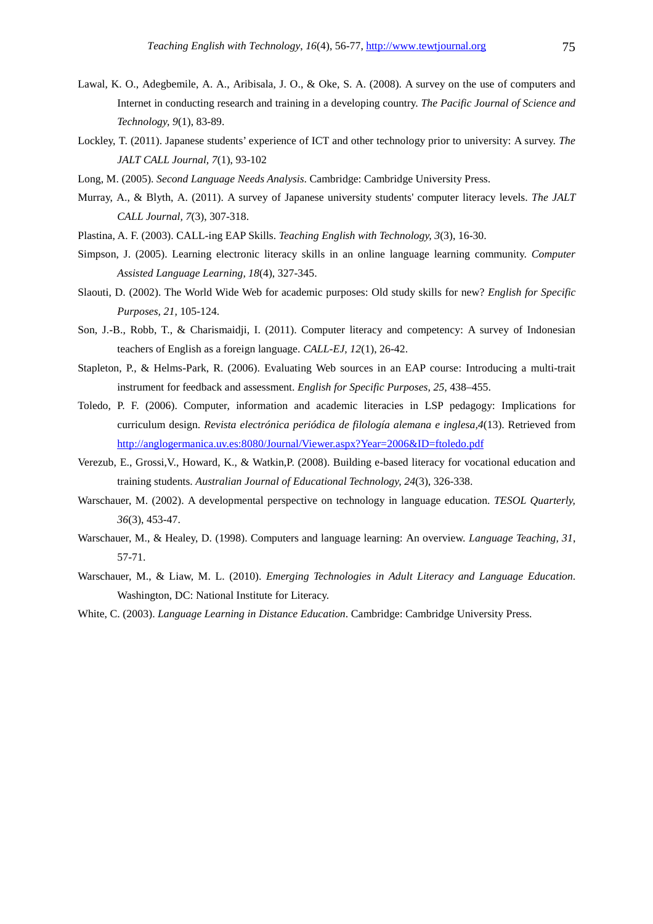- Lawal, K. O., Adegbemile, A. A., Aribisala, J. O., & Oke, S. A. (2008). A survey on the use of computers and Internet in conducting research and training in a developing country. *The Pacific Journal of Science and Technology, 9*(1), 83-89.
- Lockley, T. (2011). Japanese students' experience of ICT and other technology prior to university: A survey. *The JALT CALL Journal, 7*(1), 93-102
- Long, M. (2005). *Second Language Needs Analysis*. Cambridge: Cambridge University Press.
- Murray, A., & Blyth, A. (2011). A survey of Japanese university students' computer literacy levels. *The JALT CALL Journal, 7*(3), 307-318.
- Plastina, A. F. (2003). CALL-ing EAP Skills. *Teaching English with Technology, 3*(3), 16-30.
- Simpson, J. (2005). Learning electronic literacy skills in an online language learning community. *Computer Assisted Language Learning, 18*(4), 327-345.
- Slaouti, D. (2002). The World Wide Web for academic purposes: Old study skills for new? *English for Specific Purposes, 21,* 105-124.
- Son, J.-B., Robb, T., & Charismaidji, I. (2011). Computer literacy and competency: A survey of Indonesian teachers of English as a foreign language. *CALL-EJ, 12*(1), 26-42.
- Stapleton, P., & Helms-Park, R. (2006). Evaluating Web sources in an EAP course: Introducing a multi-trait instrument for feedback and assessment. *English for Specific Purposes, 25*, 438–455.
- Toledo, P. F. (2006). Computer, information and academic literacies in LSP pedagogy: Implications for curriculum design. *Revista electrónica periódica de filología alemana e inglesa,4*(13). Retrieved from http://anglogermanica.uv.es:8080/Journal/Viewer.aspx?Year=2006&ID=ftoledo.pdf
- Verezub, E., Grossi,V., Howard, K., & Watkin,P. (2008). Building e-based literacy for vocational education and training students. *Australian Journal of Educational Technology, 24*(3), 326-338.
- Warschauer, M. (2002). A developmental perspective on technology in language education. *TESOL Quarterly, 36*(3), 453-47.
- Warschauer, M., & Healey, D. (1998). Computers and language learning: An overview. *Language Teaching, 31*, 57-71.
- Warschauer, M., & Liaw, M. L. (2010). *Emerging Technologies in Adult Literacy and Language Education*. Washington, DC: National Institute for Literacy.
- White, C. (2003). *Language Learning in Distance Education*. Cambridge: Cambridge University Press.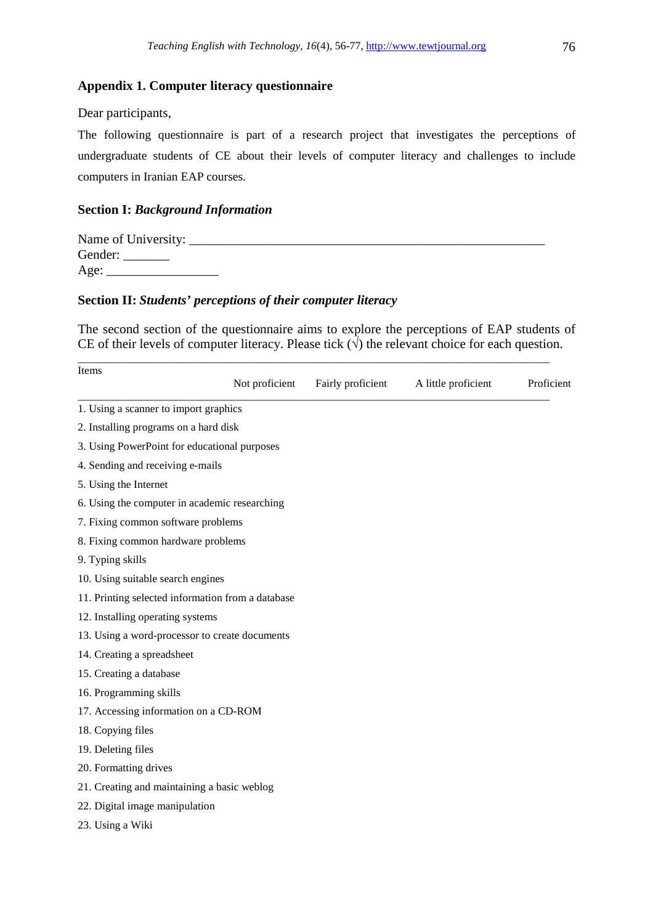### **Appendix 1. Computer literacy questionnaire**

### Dear participants,

The following questionnaire is part of a research project that investigates the perceptions of undergraduate students of CE about their levels of computer literacy and challenges to include computers in Iranian EAP courses.

### **Section I:** *Background Information*

| Name of University: |  |
|---------------------|--|
| Gender:             |  |
| Age:                |  |

### **Section II:** *Students' perceptions of their computer literacy*

The second section of the questionnaire aims to explore the perceptions of EAP students of CE of their levels of computer literacy. Please tick  $(\sqrt{\ })$  the relevant choice for each question.

\_\_\_\_\_\_\_\_\_\_\_\_\_\_\_\_\_\_\_\_\_\_\_\_\_\_\_\_\_\_\_\_\_\_\_\_\_\_\_\_\_\_\_\_\_\_\_\_\_\_\_\_\_\_\_\_\_\_\_\_\_\_\_\_\_\_\_\_\_\_\_\_\_\_\_\_\_\_\_\_\_\_\_\_\_\_

| Items                                             | Not proficient | Fairly proficient | A little proficient | Proficient |
|---------------------------------------------------|----------------|-------------------|---------------------|------------|
| 1. Using a scanner to import graphics             |                |                   |                     |            |
| 2. Installing programs on a hard disk             |                |                   |                     |            |
| 3. Using PowerPoint for educational purposes      |                |                   |                     |            |
| 4. Sending and receiving e-mails                  |                |                   |                     |            |
| 5. Using the Internet                             |                |                   |                     |            |
| 6. Using the computer in academic researching     |                |                   |                     |            |
| 7. Fixing common software problems                |                |                   |                     |            |
| 8. Fixing common hardware problems                |                |                   |                     |            |
| 9. Typing skills                                  |                |                   |                     |            |
| 10. Using suitable search engines                 |                |                   |                     |            |
| 11. Printing selected information from a database |                |                   |                     |            |
| 12. Installing operating systems                  |                |                   |                     |            |
| 13. Using a word-processor to create documents    |                |                   |                     |            |
| 14. Creating a spreadsheet                        |                |                   |                     |            |
| 15. Creating a database                           |                |                   |                     |            |
| 16. Programming skills                            |                |                   |                     |            |
| 17. Accessing information on a CD-ROM             |                |                   |                     |            |
| 18. Copying files                                 |                |                   |                     |            |
| 19. Deleting files                                |                |                   |                     |            |
| 20. Formatting drives                             |                |                   |                     |            |
| 21. Creating and maintaining a basic weblog       |                |                   |                     |            |
| 22. Digital image manipulation                    |                |                   |                     |            |
| 23. Using a Wiki                                  |                |                   |                     |            |
|                                                   |                |                   |                     |            |